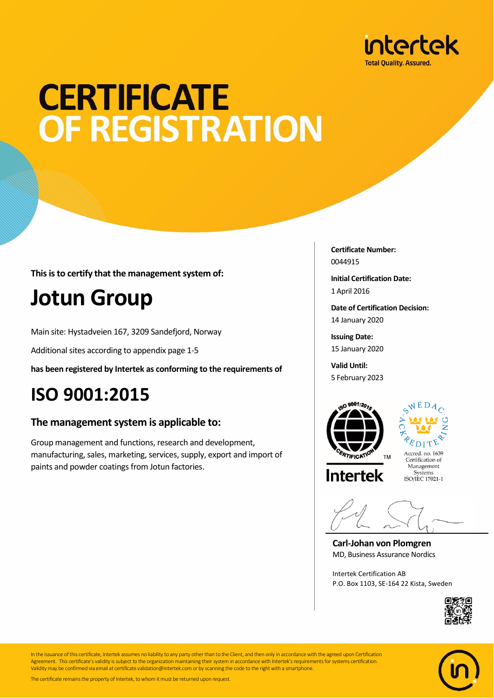

### **CERTIFICATE** OF REGISTRATION

**This is to certify that the management system of:**

### **Jotun Group**

Main site: Hystadveien 167, 3209 Sandefjord, Norway

Additional sites according to appendix page 1-5

**has been registered by Intertek as conforming to the requirements of**

### **ISO 9001:2015**

### **The management system is applicable to:**

Group management and functions, research and development, manufacturing, sales, marketing, services, supply, export and import of paints and powder coatings from Jotun factories.

**Certificate Number:** 0044915

**Initial Certification Date:** 1 April 2016

**Date of Certification Decision:** 14 January 2020

**Issuing Date:** 15 January 2020

**Valid Until:** 5 February 2023



**Intertek** 



Certification of Management Systems ISO/IEC 17021-1

**Carl-Johan von Plomgren** MD, Business Assurance Nordics

Intertek Certification AB P.O. Box 1103, SE-164 22 Kista, Sweden





In the issuance of this certificate, Intertek assumes no liability to any party other than to the Client, and then only in accordance with the agreed upon Certification Agreement. This certificate's validity is subject to the organization maintaining their system in accordance with Intertek's requirements for systems certification. Validity may be confirmed via email at certificate.validation@intertek.com or by scanning the code to the right with a smartphone.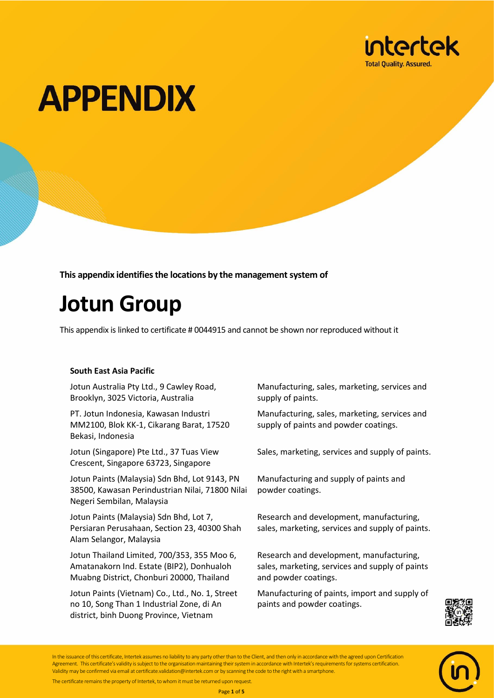

**This appendix identifies the locations by the management system of**

### **Jotun Group**

This appendix is linked to certificate # 0044915 and cannot be shown nor reproduced without it

### **South East Asia Pacific**

Jotun Australia Pty Ltd., 9 Cawley Road, Brooklyn, 3025 Victoria, Australia

PT. Jotun Indonesia, Kawasan Industri MM2100, Blok KK-1, Cikarang Barat, 17520 Bekasi, Indonesia

Jotun (Singapore) Pte Ltd., 37 Tuas View Crescent, Singapore 63723, Singapore

Jotun Paints (Malaysia) Sdn Bhd, Lot 9143, PN 38500, Kawasan Perindustrian Nilai, 71800 Nilai Negeri Sembilan, Malaysia

Jotun Paints (Malaysia) Sdn Bhd, Lot 7, Persiaran Perusahaan, Section 23, 40300 Shah Alam Selangor, Malaysia

Jotun Thailand Limited, 700/353, 355 Moo 6, Amatanakorn Ind. Estate (BIP2), Donhualoh Muabng District, Chonburi 20000, Thailand

Jotun Paints (Vietnam) Co., Ltd., No. 1, Street no 10, Song Than 1 Industrial Zone, di An district, binh Duong Province, Vietnam

Manufacturing, sales, marketing, services and supply of paints.

Manufacturing, sales, marketing, services and supply of paints and powder coatings.

Sales, marketing, services and supply of paints.

Manufacturing and supply of paints and powder coatings.

Research and development, manufacturing, sales, marketing, services and supply of paints.

Research and development, manufacturing, sales, marketing, services and supply of paints and powder coatings.

Manufacturing of paints, import and supply of paints and powder coatings.



Page **1** of **5**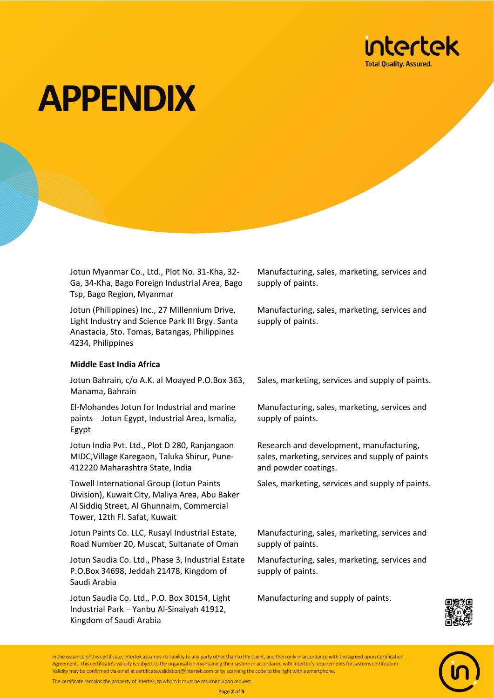

Jotun Myanmar Co., Ltd., Plot No. 31-Kha, 32- Ga, 34-Kha, Bago Foreign Industrial Area, Bago Tsp, Bago Region, Myanmar

Jotun (Philippines) Inc., 27 Millennium Drive, Light Industry and Science Park III Brgy. Santa Anastacia, Sto. Tomas, Batangas, Philippines 4234, Philippines

#### **Middle East India Africa**

Jotun Bahrain, c/o A.K. al Moayed P.O.Box 363, Manama, Bahrain

El-Mohandes Jotun for Industrial and marine paints – Jotun Egypt, Industrial Area, Ismalia, Egypt

Jotun India Pvt. Ltd., Plot D 280, Ranjangaon MIDC,Village Karegaon, Taluka Shirur, Pune-412220 Maharashtra State, India

Towell International Group (Jotun Paints Division), Kuwait City, Maliya Area, Abu Baker Al Siddiq Street, Al Ghunnaim, Commercial Tower, 12th Fl. Safat, Kuwait

Jotun Paints Co. LLC, Rusayl Industrial Estate, Road Number 20, Muscat, Sultanate of Oman

Jotun Saudia Co. Ltd., Phase 3, Industrial Estate P.O.Box 34698, Jeddah 21478, Kingdom of Saudi Arabia

Jotun Saudia Co. Ltd., P.O. Box 30154, Light Industrial Park – Yanbu Al-Sinaiyah 41912, Kingdom of Saudi Arabia

Manufacturing, sales, marketing, services and supply of paints.

Manufacturing, sales, marketing, services and supply of paints.

Sales, marketing, services and supply of paints.

Manufacturing, sales, marketing, services and supply of paints.

Research and development, manufacturing, sales, marketing, services and supply of paints and powder coatings.

Sales, marketing, services and supply of paints.

Manufacturing, sales, marketing, services and supply of paints.

Manufacturing, sales, marketing, services and supply of paints.

Manufacturing and supply of paints.





In the issuance of this certificate, Intertek assumes no liability to any party other than to the Client, and then only in accordance with the agreed upon Certification Agreement. This certificate's validity is subject to the organisation maintaining their system in accordance with Intertek's requirements for systems certification. Validity may be confirmed via email at certificate.validation@intertek.com or by scanning the code to the right with a smartphone.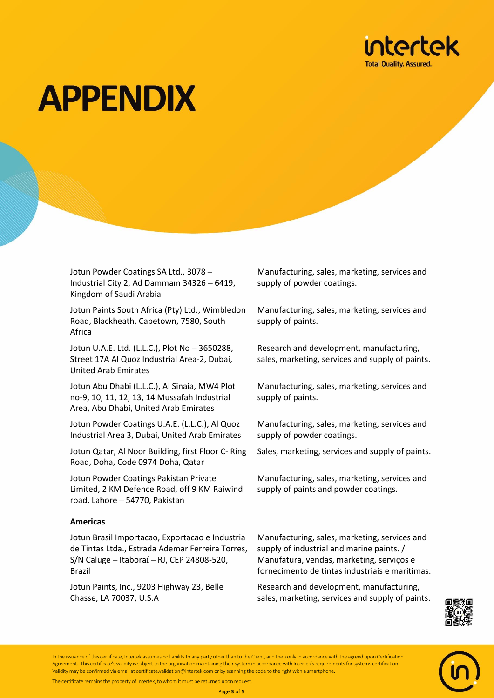

Jotun Powder Coatings SA Ltd., 3078 – Industrial City 2, Ad Dammam 34326 – 6419, Kingdom of Saudi Arabia

Jotun Paints South Africa (Pty) Ltd., Wimbledon Road, Blackheath, Capetown, 7580, South Africa

Jotun U.A.E. Ltd. (L.L.C.), Plot No – 3650288, Street 17A Al Quoz Industrial Area-2, Dubai, United Arab Emirates

Jotun Abu Dhabi (L.L.C.), Al Sinaia, MW4 Plot no-9, 10, 11, 12, 13, 14 Mussafah Industrial Area, Abu Dhabi, United Arab Emirates

Jotun Powder Coatings U.A.E. (L.L.C.), Al Quoz Industrial Area 3, Dubai, United Arab Emirates

Jotun Qatar, Al Noor Building, first Floor C- Ring Road, Doha, Code 0974 Doha, Qatar

Jotun Powder Coatings Pakistan Private Limited, 2 KM Defence Road, off 9 KM Raiwind road, Lahore – 54770, Pakistan

#### **Americas**

Jotun Brasil Importacao, Exportacao e Industria de Tintas Ltda., Estrada Ademar Ferreira Torres, S/N Caluge – Itaboraí – RJ, CEP 24808-520, Brazil

Jotun Paints, Inc., 9203 Highway 23, Belle Chasse, LA 70037, U.S.A

Manufacturing, sales, marketing, services and supply of powder coatings.

Manufacturing, sales, marketing, services and supply of paints.

Research and development, manufacturing, sales, marketing, services and supply of paints.

Manufacturing, sales, marketing, services and supply of paints.

Manufacturing, sales, marketing, services and supply of powder coatings.

Sales, marketing, services and supply of paints.

Manufacturing, sales, marketing, services and supply of paints and powder coatings.

Manufacturing, sales, marketing, services and supply of industrial and marine paints. / Manufatura, vendas, marketing, serviços e fornecimento de tintas industriais e maritimas.

Research and development, manufacturing, sales, marketing, services and supply of paints.





In the issuance of this certificate, Intertek assumes no liability to any party other than to the Client, and then only in accordance with the agreed upon Certification Agreement. This certificate's validity is subject to the organisation maintaining their system in accordance with Intertek's requirements for systems certification. Validity may be confirmed via email at certificate.validation@intertek.com or by scanning the code to the right with a smartphone.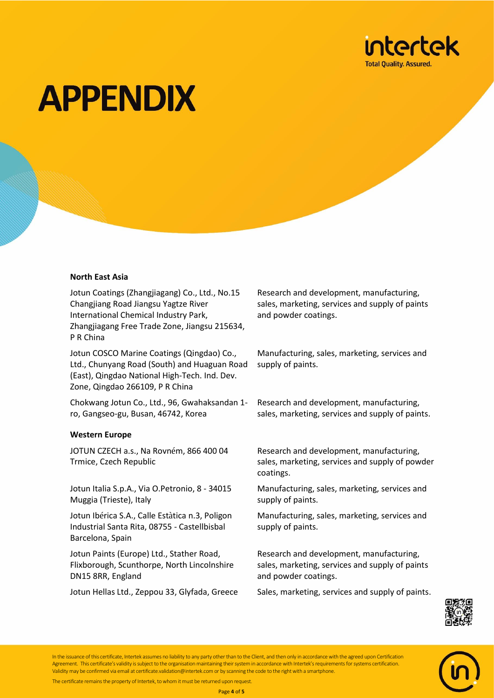

#### **North East Asia**

Jotun Coatings (Zhangjiagang) Co., Ltd., No.15 Changjiang Road Jiangsu Yagtze River International Chemical Industry Park, Zhangjiagang Free Trade Zone, Jiangsu 215634, P R China

Jotun COSCO Marine Coatings (Qingdao) Co., Ltd., Chunyang Road (South) and Huaguan Road (East), Qingdao National High-Tech. Ind. Dev. Zone, Qingdao 266109, P R China

Chokwang Jotun Co., Ltd., 96, Gwahaksandan 1 ro, Gangseo-gu, Busan, 46742, Korea

#### **Western Europe**

JOTUN CZECH a.s., Na Rovném, 866 400 04 Trmice, Czech Republic

Jotun Italia S.p.A., Via O.Petronio, 8 - 34015 Muggia (Trieste), Italy

Jotun Ibérica S.A., Calle Estàtica n.3, Poligon Industrial Santa Rita, 08755 - Castellbisbal Barcelona, Spain

Jotun Paints (Europe) Ltd., Stather Road, Flixborough, Scunthorpe, North Lincolnshire DN15 8RR, England

Research and development, manufacturing, sales, marketing, services and supply of paints and powder coatings.

Manufacturing, sales, marketing, services and supply of paints.

Research and development, manufacturing, sales, marketing, services and supply of paints.

Research and development, manufacturing, sales, marketing, services and supply of powder coatings.

Manufacturing, sales, marketing, services and supply of paints.

Manufacturing, sales, marketing, services and supply of paints.

Research and development, manufacturing, sales, marketing, services and supply of paints and powder coatings.

Jotun Hellas Ltd., Zeppou 33, Glyfada, Greece Sales, marketing, services and supply of paints.



In the issuance of this certificate, Intertek assumes no liability to any party other than to the Client, and then only in accordance with the agreed upon Certification Agreement. This certificate's validity is subject to the organisation maintaining their system in accordance with Intertek's requirements for systems certification. Validity may be confirmed via email at certificate.validation@intertek.com or by scanning the code to the right with a smartphone.